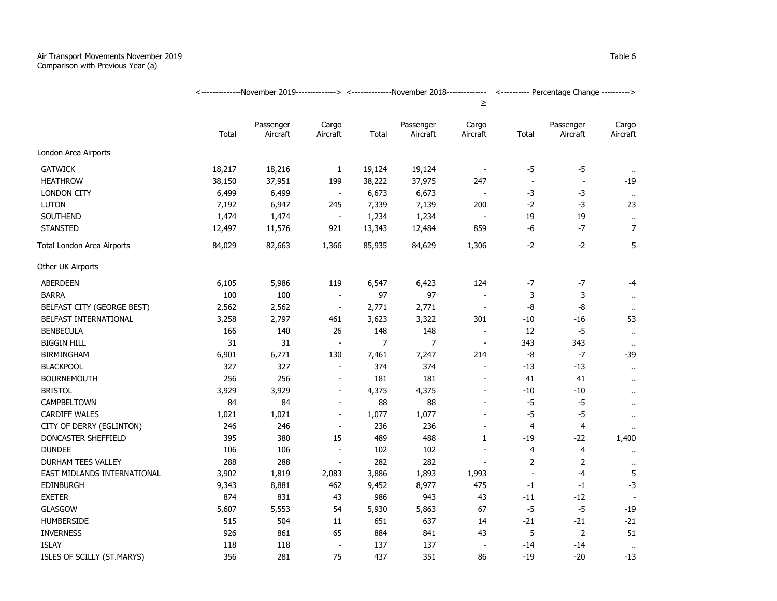## Air Transport Movements November 2019

Comparison with Previous Year (a)

|                             | <--------------November 2019--------------> <--------------November 2018------------- |                       |                          |                |                       |                          | <---------- Percentage Change ----------> |                          |                      |
|-----------------------------|---------------------------------------------------------------------------------------|-----------------------|--------------------------|----------------|-----------------------|--------------------------|-------------------------------------------|--------------------------|----------------------|
|                             |                                                                                       |                       |                          |                |                       | $\geq$                   |                                           |                          |                      |
|                             | Total                                                                                 | Passenger<br>Aircraft | Cargo<br>Aircraft        | Total          | Passenger<br>Aircraft | Cargo<br>Aircraft        | Total                                     | Passenger<br>Aircraft    | Cargo<br>Aircraft    |
| London Area Airports        |                                                                                       |                       |                          |                |                       |                          |                                           |                          |                      |
| <b>GATWICK</b>              | 18,217                                                                                | 18,216                | 1                        | 19,124         | 19,124                | $\overline{\phantom{a}}$ | $-5$                                      | $-5$                     |                      |
| <b>HEATHROW</b>             | 38,150                                                                                | 37,951                | 199                      | 38,222         | 37,975                | 247                      | $\overline{\phantom{a}}$                  | $\overline{\phantom{a}}$ | -19                  |
| <b>LONDON CITY</b>          | 6,499                                                                                 | 6,499                 | $\overline{\phantom{a}}$ | 6,673          | 6,673                 | $\overline{\phantom{a}}$ | $-3$                                      | -3                       | $\cdot$ .            |
| <b>LUTON</b>                | 7,192                                                                                 | 6,947                 | 245                      | 7,339          | 7,139                 | 200                      | $-2$                                      | -3                       | 23                   |
| SOUTHEND                    | 1,474                                                                                 | 1,474                 | $\blacksquare$           | 1,234          | 1,234                 | $\overline{\phantom{a}}$ | 19                                        | 19                       | $\ddot{\phantom{1}}$ |
| <b>STANSTED</b>             | 12,497                                                                                | 11,576                | 921                      | 13,343         | 12,484                | 859                      | -6                                        | $-7$                     | $\overline{7}$       |
| Total London Area Airports  | 84,029                                                                                | 82,663                | 1,366                    | 85,935         | 84,629                | 1,306                    | $-2$                                      | $-2$                     | 5                    |
| Other UK Airports           |                                                                                       |                       |                          |                |                       |                          |                                           |                          |                      |
| ABERDEEN                    | 6,105                                                                                 | 5,986                 | 119                      | 6,547          | 6,423                 | 124                      | $-7$                                      | $-7$                     | -4                   |
| <b>BARRA</b>                | 100                                                                                   | 100                   | $\blacksquare$           | 97             | 97                    |                          | 3                                         | 3                        | $\sim$               |
| BELFAST CITY (GEORGE BEST)  | 2,562                                                                                 | 2,562                 | $\overline{\phantom{a}}$ | 2,771          | 2,771                 | $\overline{\phantom{a}}$ | -8                                        | -8                       | $\mathbf{u}$         |
| BELFAST INTERNATIONAL       | 3,258                                                                                 | 2,797                 | 461                      | 3,623          | 3,322                 | 301                      | $-10$                                     | -16                      | 53                   |
| <b>BENBECULA</b>            | 166                                                                                   | 140                   | 26                       | 148            | 148                   | $\overline{\phantom{a}}$ | 12                                        | $-5$                     | $\ddot{\phantom{1}}$ |
| <b>BIGGIN HILL</b>          | 31                                                                                    | 31                    | $\blacksquare$           | $\overline{7}$ | $\overline{7}$        | $\overline{\phantom{a}}$ | 343                                       | 343                      | $\sim$               |
| <b>BIRMINGHAM</b>           | 6,901                                                                                 | 6,771                 | 130                      | 7,461          | 7,247                 | 214                      | -8                                        | $-7$                     | $-39$                |
| <b>BLACKPOOL</b>            | 327                                                                                   | 327                   | $\sim$                   | 374            | 374                   | $\sim$                   | $-13$                                     | $-13$                    | $\ddot{\phantom{1}}$ |
| <b>BOURNEMOUTH</b>          | 256                                                                                   | 256                   | $\overline{a}$           | 181            | 181                   |                          | 41                                        | 41                       | $\alpha$             |
| <b>BRISTOL</b>              | 3,929                                                                                 | 3,929                 | $\overline{a}$           | 4,375          | 4,375                 |                          | -10                                       | -10                      | $\ddot{\phantom{1}}$ |
| <b>CAMPBELTOWN</b>          | 84                                                                                    | 84                    | $\blacksquare$           | 88             | 88                    | $\sim$                   | $-5$                                      | $-5$                     | $\ddot{\phantom{1}}$ |
| <b>CARDIFF WALES</b>        | 1,021                                                                                 | 1,021                 | $\overline{\phantom{a}}$ | 1,077          | 1,077                 | $\blacksquare$           | $-5$                                      | $-5$                     | $\ddot{\phantom{1}}$ |
| CITY OF DERRY (EGLINTON)    | 246                                                                                   | 246                   | $\blacksquare$           | 236            | 236                   |                          | $\overline{4}$                            | $\overline{4}$           |                      |
| DONCASTER SHEFFIELD         | 395                                                                                   | 380                   | 15                       | 489            | 488                   | 1                        | $-19$                                     | -22                      | 1,400                |
| <b>DUNDEE</b>               | 106                                                                                   | 106                   | $\blacksquare$           | 102            | 102                   |                          | 4                                         | 4                        | $\bullet$ .          |
| <b>DURHAM TEES VALLEY</b>   | 288                                                                                   | 288                   | $\blacksquare$           | 282            | 282                   | $\blacksquare$           | 2                                         | $\overline{2}$           | $\bullet$ .          |
| EAST MIDLANDS INTERNATIONAL | 3,902                                                                                 | 1,819                 | 2,083                    | 3,886          | 1,893                 | 1,993                    | $\overline{\phantom{a}}$                  | $-4$                     | 5                    |
| <b>EDINBURGH</b>            | 9,343                                                                                 | 8,881                 | 462                      | 9,452          | 8,977                 | 475                      | $-1$                                      | $-1$                     | $-3$                 |
| <b>EXETER</b>               | 874                                                                                   | 831                   | 43                       | 986            | 943                   | 43                       | $-11$                                     | $-12$                    |                      |
| <b>GLASGOW</b>              | 5,607                                                                                 | 5,553                 | 54                       | 5,930          | 5,863                 | 67                       | $-5$                                      | $-5$                     | $-19$                |
| <b>HUMBERSIDE</b>           | 515                                                                                   | 504                   | 11                       | 651            | 637                   | 14                       | $-21$                                     | $-21$                    | $-21$                |
| <b>INVERNESS</b>            | 926                                                                                   | 861                   | 65                       | 884            | 841                   | 43                       | 5                                         | $\overline{2}$           | 51                   |
| <b>ISLAY</b>                | 118                                                                                   | 118                   | $\overline{\phantom{a}}$ | 137            | 137                   |                          | $-14$                                     | -14                      | $\alpha$             |
| ISLES OF SCILLY (ST.MARYS)  | 356                                                                                   | 281                   | 75                       | 437            | 351                   | 86                       | $-19$                                     | $-20$                    | $-13$                |